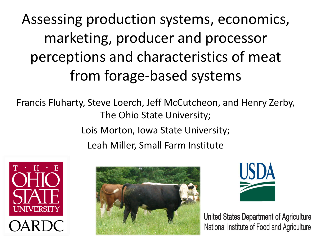Assessing production systems, economics, marketing, producer and processor perceptions and characteristics of meat from forage-based systems

Francis Fluharty, Steve Loerch, Jeff McCutcheon, and Henry Zerby, The Ohio State University; Lois Morton, Iowa State University; Leah Miller, Small Farm Institute







United States Department of Agriculture National Institute of Food and Agriculture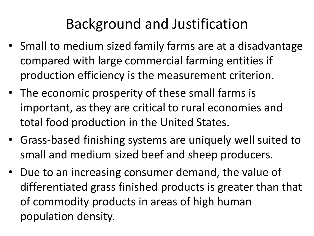# Background and Justification

- Small to medium sized family farms are at a disadvantage compared with large commercial farming entities if production efficiency is the measurement criterion.
- The economic prosperity of these small farms is important, as they are critical to rural economies and total food production in the United States.
- Grass-based finishing systems are uniquely well suited to small and medium sized beef and sheep producers.
- Due to an increasing consumer demand, the value of differentiated grass finished products is greater than that of commodity products in areas of high human population density.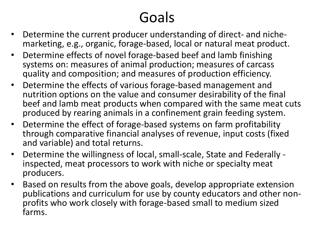# Goals

- Determine the current producer understanding of direct- and nichemarketing, e.g., organic, forage-based, local or natural meat product.
- Determine effects of novel forage-based beef and lamb finishing systems on: measures of animal production; measures of carcass quality and composition; and measures of production efficiency.
- Determine the effects of various forage-based management and nutrition options on the value and consumer desirability of the final beef and lamb meat products when compared with the same meat cuts produced by rearing animals in a confinement grain feeding system.
- Determine the effect of forage-based systems on farm profitability through comparative financial analyses of revenue, input costs (fixed and variable) and total returns.
- Determine the willingness of local, small-scale, State and Federally inspected, meat processors to work with niche or specialty meat producers.
- Based on results from the above goals, develop appropriate extension publications and curriculum for use by county educators and other nonprofits who work closely with forage-based small to medium sized farms.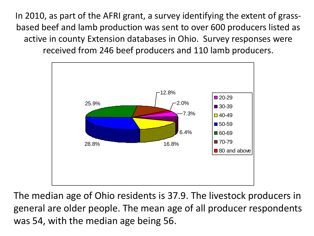In 2010, as part of the AFRI grant, a survey identifying the extent of grassbased beef and lamb production was sent to over 600 producers listed as active in county Extension databases in Ohio. Survey responses were received from 246 beef producers and 110 lamb producers.



The median age of Ohio residents is 37.9. The livestock producers in general are older people. The mean age of all producer respondents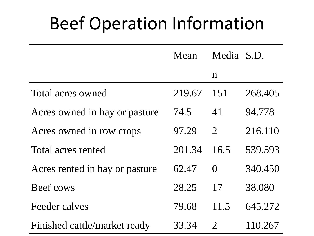# Beef Operation Information

|                                | Mean   | Media S.D.     |         |
|--------------------------------|--------|----------------|---------|
|                                |        | $\mathbf n$    |         |
| Total acres owned              | 219.67 | 151            | 268.405 |
| Acres owned in hay or pasture  | 74.5   | 41             | 94.778  |
| Acres owned in row crops       | 97.29  | $\overline{2}$ | 216.110 |
| Total acres rented             | 201.34 | 16.5           | 539.593 |
| Acres rented in hay or pasture | 62.47  | $\Omega$       | 340.450 |
| Beef cows                      | 28.25  | 17             | 38.080  |
| Feeder calves                  | 79.68  | 11.5           | 645.272 |
| Finished cattle/market ready   | 33.34  | $\overline{2}$ | 110.267 |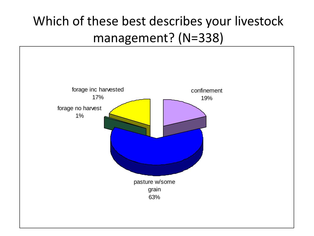## Which of these best describes your livestock management? (N=338)

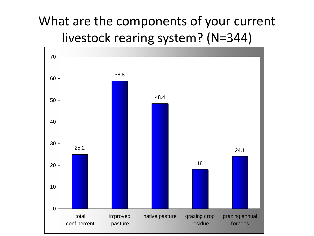#### What are the components of your current livestock rearing system? (N=344)

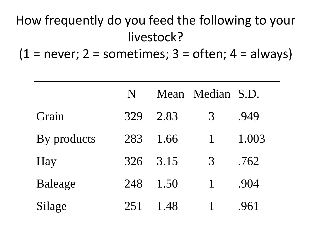## How frequently do you feed the following to your livestock?

 $(1 = never; 2 = sometimes; 3 = often; 4 = always)$ 

|             | N   |      | Mean Median S.D. |       |
|-------------|-----|------|------------------|-------|
| Grain       | 329 | 2.83 | 3                | .949  |
| By products | 283 | 1.66 |                  | 1.003 |
| Hay         | 326 | 3.15 | 3                | .762  |
| Baleage     | 248 | 1.50 | $\mathbf{1}$     | .904  |
| Silage      | 251 | 1.48 |                  | .961  |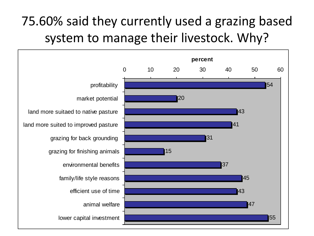### 75.60% said they currently used a grazing based system to manage their livestock. Why?

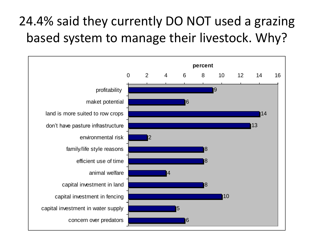#### 24.4% said they currently DO NOT used a grazing based system to manage their livestock. Why?

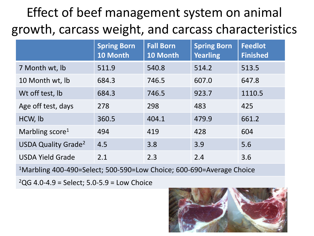## Effect of beef management system on animal growth, carcass weight, and carcass characteristics

|                                       | <b>Spring Born</b><br>10 Month | <b>Fall Born</b><br>10 Month | <b>Spring Born</b><br><b>Yearling</b> | <b>Feedlot</b><br><b>Finished</b> |
|---------------------------------------|--------------------------------|------------------------------|---------------------------------------|-----------------------------------|
| 7 Month wt, lb                        | 511.9                          | 540.8                        | 514.2                                 | 513.5                             |
| 10 Month wt, lb                       | 684.3                          | 746.5                        | 607.0                                 | 647.8                             |
| Wt off test, lb                       | 684.3                          | 746.5                        | 923.7                                 | 1110.5                            |
| Age off test, days                    | 278                            | 298                          | 483                                   | 425                               |
| HCW, lb                               | 360.5                          | 404.1                        | 479.9                                 | 661.2                             |
| Marbling score <sup>1</sup>           | 494                            | 419                          | 428                                   | 604                               |
| <b>USDA Quality Grade<sup>2</sup></b> | 4.5                            | 3.8                          | 3.9                                   | 5.6                               |
| <b>USDA Yield Grade</b>               | 2.1                            | 2.3                          | 2.4                                   | 3.6                               |

<sup>1</sup>Marbling 400-490=Select; 500-590=Low Choice; 600-690=Average Choice

 $^{2}$ QG 4.0-4.9 = Select; 5.0-5.9 = Low Choice